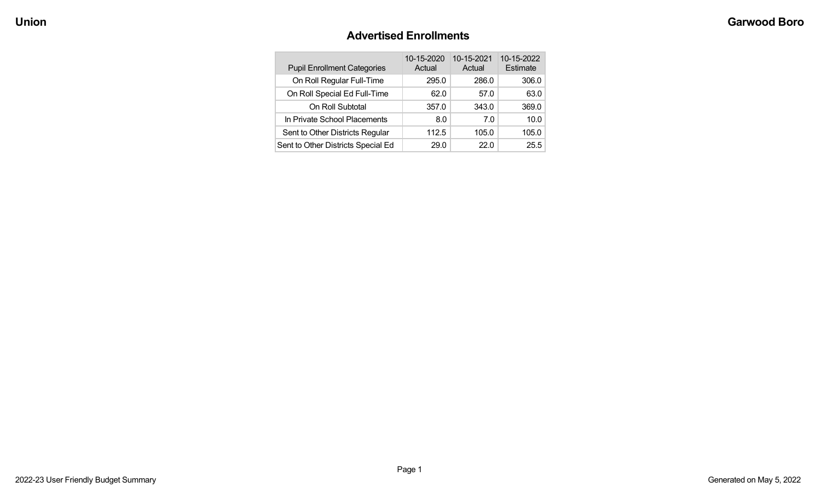### **Advertised Enrollments**

| <b>Pupil Enrollment Categories</b> | 10-15-2020<br>Actual | 10-15-2021<br>Actual | 10-15-2022<br>Estimate |
|------------------------------------|----------------------|----------------------|------------------------|
| On Roll Regular Full-Time          | 295.0                | 286.0                | 306.0                  |
| On Roll Special Ed Full-Time       | 62.0                 | 57.0                 | 63.0                   |
| On Roll Subtotal                   | 357.0                | 343.0                | 369.0                  |
| In Private School Placements       | 8.0                  | 70                   | 10.0                   |
| Sent to Other Districts Regular    | 112.5                | 105.0                | 105.0                  |
| Sent to Other Districts Special Ed | 29.0                 | 22.0                 | 25.5                   |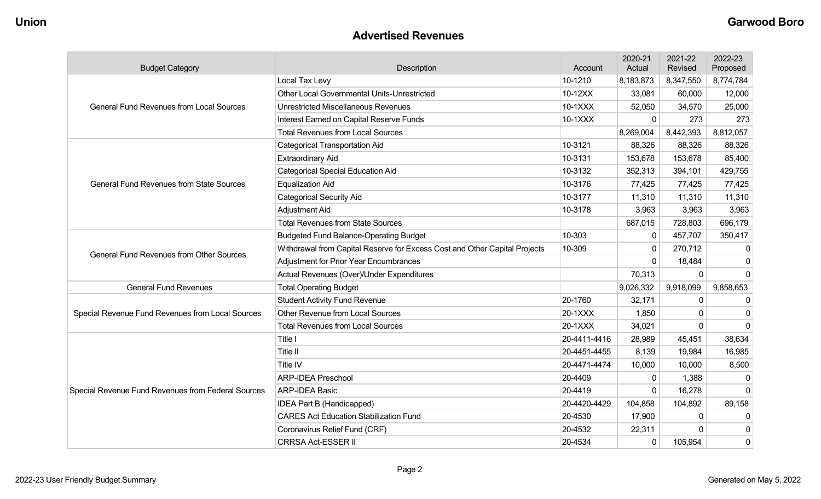#### **Advertised Revenues**

| <b>Budget Category</b>                             | Description                                                                | Account      | 2020-21<br>Actual | 2021-22<br>Revised | 2022-23<br>Proposed |
|----------------------------------------------------|----------------------------------------------------------------------------|--------------|-------------------|--------------------|---------------------|
|                                                    | Local Tax Levy                                                             | 10-1210      | 8,183,873         | 8,347,550          | 8,774,784           |
|                                                    | Other Local Governmental Units-Unrestricted                                | 10-12XX      | 33,081            | 60,000             | 12,000              |
| <b>General Fund Revenues from Local Sources</b>    | <b>Unrestricted Miscellaneous Revenues</b>                                 | 10-1XXX      | 52,050            | 34,570             | 25,000              |
|                                                    | Interest Earned on Capital Reserve Funds                                   | 10-1XXX      | $\Omega$          | 273                | 273                 |
|                                                    | <b>Total Revenues from Local Sources</b>                                   |              | 8,269,004         | 8,442,393          | 8,812,057           |
|                                                    | <b>Categorical Transportation Aid</b>                                      | 10-3121      | 88,326            | 88,326             | 88,326              |
|                                                    | <b>Extraordinary Aid</b>                                                   | 10-3131      | 153,678           | 153,678            | 85,400              |
|                                                    | <b>Categorical Special Education Aid</b>                                   | 10-3132      | 352,313           | 394,101            | 429,755             |
| <b>General Fund Revenues from State Sources</b>    | <b>Equalization Aid</b>                                                    | 10-3176      | 77,425            | 77,425             | 77,425              |
|                                                    | <b>Categorical Security Aid</b>                                            | 10-3177      | 11,310            | 11,310             | 11,310              |
|                                                    | Adjustment Aid                                                             | 10-3178      | 3,963             | 3,963              | 3,963               |
|                                                    | <b>Total Revenues from State Sources</b>                                   |              | 687,015           | 728,803            | 696,179             |
|                                                    | <b>Budgeted Fund Balance-Operating Budget</b>                              | 10-303       | $\mathbf{0}$      | 457,707            | 350,417             |
| <b>General Fund Revenues from Other Sources</b>    | Withdrawal from Capital Reserve for Excess Cost and Other Capital Projects | 10-309       | $\Omega$          | 270,712            | O                   |
|                                                    | <b>Adjustment for Prior Year Encumbrances</b>                              |              | $\Omega$          | 18,484             | 0                   |
|                                                    | Actual Revenues (Over)/Under Expenditures                                  |              | 70,313            | $\mathbf 0$        | $\mathbf 0$         |
| <b>General Fund Revenues</b>                       | <b>Total Operating Budget</b>                                              |              | 9,026,332         | 9,918,099          | 9,858,653           |
|                                                    | <b>Student Activity Fund Revenue</b>                                       | 20-1760      | 32,171            | $\Omega$           | $\Omega$            |
| Special Revenue Fund Revenues from Local Sources   | Other Revenue from Local Sources                                           | 20-1XXX      | 1,850             | 0                  | O                   |
|                                                    | <b>Total Revenues from Local Sources</b>                                   | 20-1XXX      | 34,021            | $\Omega$           | $\Omega$            |
|                                                    | Title I                                                                    | 20-4411-4416 | 28,989            | 45,451             | 38,634              |
|                                                    | Title II                                                                   | 20-4451-4455 | 8,139             | 19,984             | 16,985              |
|                                                    | Title IV                                                                   | 20-4471-4474 | 10,000            | 10,000             | 8,500               |
|                                                    | <b>ARP-IDEA Preschool</b>                                                  | 20-4409      | $\Omega$          | 1,388              | $\Omega$            |
| Special Revenue Fund Revenues from Federal Sources | <b>ARP-IDEA Basic</b>                                                      | 20-4419      | $\Omega$          | 16,278             | $\Omega$            |
|                                                    | IDEA Part B (Handicapped)                                                  | 20-4420-4429 | 104,858           | 104,892            | 89,158              |
|                                                    | <b>CARES Act Education Stabilization Fund</b>                              | 20-4530      | 17,900            | 0                  | 0                   |
|                                                    | Coronavirus Relief Fund (CRF)                                              | 20-4532      | 22,311            | 0                  | 0                   |
|                                                    | <b>CRRSA Act-ESSER II</b>                                                  | 20-4534      | $\mathbf 0$       | 105,954            | 0                   |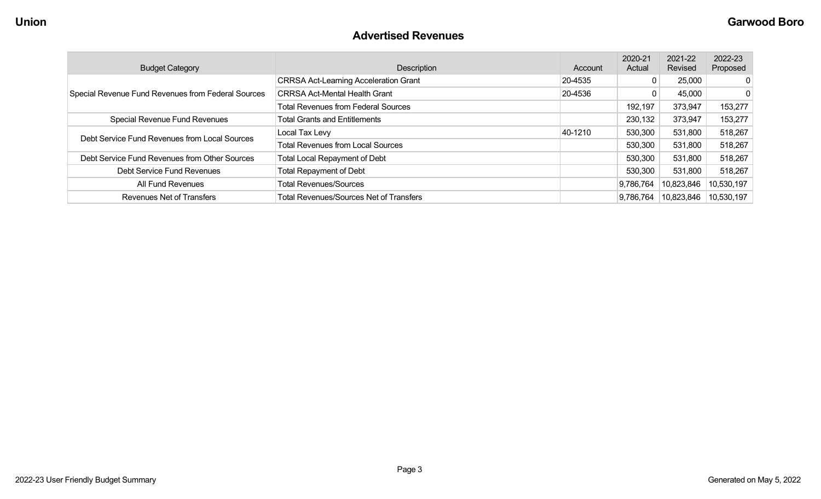### **Advertised Revenues**

| <b>Budget Category</b>                             | Description                                    | Account | 2020-21<br>Actual | 2021-22<br>Revised | 2022-23<br>Proposed |
|----------------------------------------------------|------------------------------------------------|---------|-------------------|--------------------|---------------------|
|                                                    | <b>CRRSA Act-Learning Acceleration Grant</b>   | 20-4535 | 0                 | 25,000             | $\overline{0}$      |
| Special Revenue Fund Revenues from Federal Sources | <b>CRRSA Act-Mental Health Grant</b>           | 20-4536 | 0                 | 45,000             | $\mathbf{0}$        |
|                                                    | <b>Total Revenues from Federal Sources</b>     |         | 192,197           | 373,947            | 153,277             |
| Special Revenue Fund Revenues                      | <b>Total Grants and Entitlements</b>           |         | 230,132           | 373,947            | 153,277             |
| Debt Service Fund Revenues from Local Sources      | Local Tax Levy                                 | 40-1210 | 530,300           | 531,800            | 518,267             |
|                                                    | <b>Total Revenues from Local Sources</b>       |         | 530,300           | 531,800            | 518,267             |
| Debt Service Fund Revenues from Other Sources      | Total Local Repayment of Debt                  |         | 530,300           | 531,800            | 518,267             |
| Debt Service Fund Revenues                         | <b>Total Repayment of Debt</b>                 |         | 530,300           | 531,800            | 518,267             |
| All Fund Revenues                                  | <b>Total Revenues/Sources</b>                  |         | 9,786,764         | 10,823,846         | 10,530,197          |
| Revenues Net of Transfers                          | <b>Total Revenues/Sources Net of Transfers</b> |         | 9,786,764         | 10,823,846         | 10,530,197          |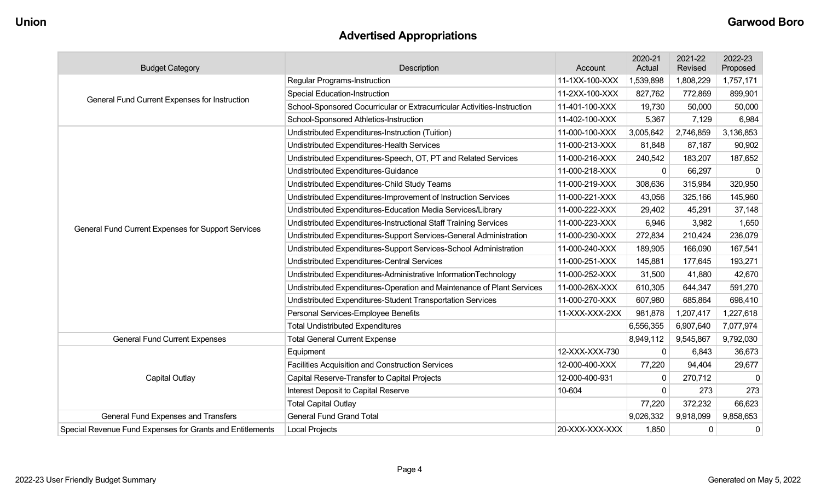# **Advertised Appropriations**

| <b>Budget Category</b>                                    | Description                                                             | Account        | 2020-21<br>Actual | 2021-22<br>Revised | 2022-23<br>Proposed |
|-----------------------------------------------------------|-------------------------------------------------------------------------|----------------|-------------------|--------------------|---------------------|
|                                                           | <b>Regular Programs-Instruction</b>                                     | 11-1XX-100-XXX | 1,539,898         | 1,808,229          | 1,757,171           |
|                                                           | <b>Special Education-Instruction</b>                                    | 11-2XX-100-XXX | 827,762           | 772,869            | 899,901             |
| General Fund Current Expenses for Instruction             | School-Sponsored Cocurricular or Extracurricular Activities-Instruction | 11-401-100-XXX | 19,730            | 50,000             | 50,000              |
|                                                           | School-Sponsored Athletics-Instruction                                  | 11-402-100-XXX | 5,367             | 7,129              | 6,984               |
|                                                           | Undistributed Expenditures-Instruction (Tuition)                        | 11-000-100-XXX | 3,005,642         | 2,746,859          | 3,136,853           |
|                                                           | Undistributed Expenditures-Health Services                              | 11-000-213-XXX | 81,848            | 87,187             | 90,902              |
|                                                           | Undistributed Expenditures-Speech, OT, PT and Related Services          | 11-000-216-XXX | 240,542           | 183,207            | 187,652             |
|                                                           | Undistributed Expenditures-Guidance                                     | 11-000-218-XXX | $\mathbf 0$       | 66,297             | $\Omega$            |
|                                                           | Undistributed Expenditures-Child Study Teams                            | 11-000-219-XXX | 308,636           | 315,984            | 320,950             |
|                                                           | Undistributed Expenditures-Improvement of Instruction Services          | 11-000-221-XXX | 43,056            | 325,166            | 145,960             |
|                                                           | Undistributed Expenditures-Education Media Services/Library             | 11-000-222-XXX | 29,402            | 45,291             | 37,148              |
|                                                           | Undistributed Expenditures-Instructional Staff Training Services        | 11-000-223-XXX | 6,946             | 3,982              | 1,650               |
| General Fund Current Expenses for Support Services        | Undistributed Expenditures-Support Services-General Administration      | 11-000-230-XXX | 272,834           | 210,424            | 236,079             |
|                                                           | Undistributed Expenditures-Support Services-School Administration       | 11-000-240-XXX | 189,905           | 166,090            | 167,541             |
|                                                           | Undistributed Expenditures-Central Services                             | 11-000-251-XXX | 145,881           | 177,645            | 193,271             |
|                                                           | Undistributed Expenditures-Administrative InformationTechnology         | 11-000-252-XXX | 31,500            | 41,880             | 42,670              |
|                                                           | Undistributed Expenditures-Operation and Maintenance of Plant Services  | 11-000-26X-XXX | 610,305           | 644,347            | 591,270             |
|                                                           | Undistributed Expenditures-Student Transportation Services              | 11-000-270-XXX | 607,980           | 685,864            | 698,410             |
|                                                           | Personal Services-Employee Benefits                                     | 11-XXX-XXX-2XX | 981,878           | 1,207,417          | 1,227,618           |
|                                                           | <b>Total Undistributed Expenditures</b>                                 |                | 6,556,355         | 6,907,640          | 7,077,974           |
| <b>General Fund Current Expenses</b>                      | <b>Total General Current Expense</b>                                    |                | 8,949,112         | 9,545,867          | 9,792,030           |
|                                                           | Equipment                                                               | 12-XXX-XXX-730 | $\mathbf 0$       | 6,843              | 36,673              |
|                                                           | <b>Facilities Acquisition and Construction Services</b>                 | 12-000-400-XXX | 77,220            | 94,404             | 29,677              |
| <b>Capital Outlay</b>                                     | Capital Reserve-Transfer to Capital Projects                            | 12-000-400-931 | 0                 | 270,712            | $\mathbf{0}$        |
|                                                           | Interest Deposit to Capital Reserve                                     | 10-604         | 0                 | 273                | 273                 |
|                                                           | <b>Total Capital Outlay</b>                                             |                | 77,220            | 372,232            | 66,623              |
| General Fund Expenses and Transfers                       | <b>General Fund Grand Total</b>                                         |                | 9,026,332         | 9,918,099          | 9,858,653           |
| Special Revenue Fund Expenses for Grants and Entitlements | <b>Local Projects</b>                                                   | 20-XXX-XXX-XXX | 1,850             | $\mathbf 0$        | $\mathbf 0$         |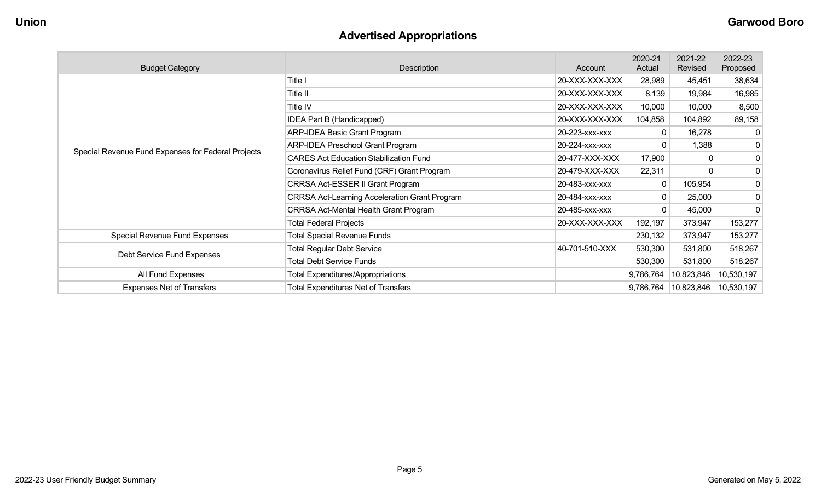# **Advertised Appropriations**

| <b>Budget Category</b>                             | Description                                          | Account        | 2020-21<br>Actual | 2021-22<br>Revised | 2022-23<br>Proposed |
|----------------------------------------------------|------------------------------------------------------|----------------|-------------------|--------------------|---------------------|
|                                                    | Title I                                              | 20-XXX-XXX-XXX | 28,989            | 45,451             | 38,634              |
|                                                    | Title II                                             | 20-XXX-XXX-XXX | 8,139             | 19,984             | 16,985              |
|                                                    | Title IV                                             | 20-XXX-XXX-XXX | 10,000            | 10,000             | 8,500               |
|                                                    | <b>IDEA Part B (Handicapped)</b>                     | 20-XXX-XXX-XXX | 104,858           | 104,892            | 89,158              |
|                                                    | <b>ARP-IDEA Basic Grant Program</b>                  | 20-223-xxx-xxx | $\overline{0}$    | 16,278             | 0                   |
|                                                    | <b>ARP-IDEA Preschool Grant Program</b>              | 20-224-xxx-xxx | $\overline{0}$    | 1,388              | 0                   |
| Special Revenue Fund Expenses for Federal Projects | <b>CARES Act Education Stabilization Fund</b>        | 20-477-XXX-XXX | 17,900            |                    | 0                   |
|                                                    | Coronavirus Relief Fund (CRF) Grant Program          | 20-479-XXX-XXX | 22,311            |                    | 0                   |
|                                                    | CRRSA Act-ESSER II Grant Program                     | 20-483-xxx-xxx | 0 <sup>1</sup>    | 105,954            | 0                   |
|                                                    | <b>CRRSA Act-Learning Acceleration Grant Program</b> | 20-484-xxx-xxx | $\overline{0}$    | 25,000             | 0                   |
|                                                    | <b>CRRSA Act-Mental Health Grant Program</b>         | 20-485-xxx-xxx | $\overline{0}$    | 45,000             | 0                   |
|                                                    | <b>Total Federal Projects</b>                        | 20-XXX-XXX-XXX | 192,197           | 373,947            | 153,277             |
| Special Revenue Fund Expenses                      | <b>Total Special Revenue Funds</b>                   |                | 230,132           | 373,947            | 153,277             |
|                                                    | <b>Total Regular Debt Service</b>                    | 40-701-510-XXX | 530,300           | 531,800            | 518,267             |
| Debt Service Fund Expenses                         | <b>Total Debt Service Funds</b>                      |                | 530,300           | 531,800            | 518,267             |
| All Fund Expenses                                  | <b>Total Expenditures/Appropriations</b>             |                | 9,786,764         | 10,823,846         | 10,530,197          |
| <b>Expenses Net of Transfers</b>                   | <b>Total Expenditures Net of Transfers</b>           |                | 9,786,764         | 10,823,846         | 10,530,197          |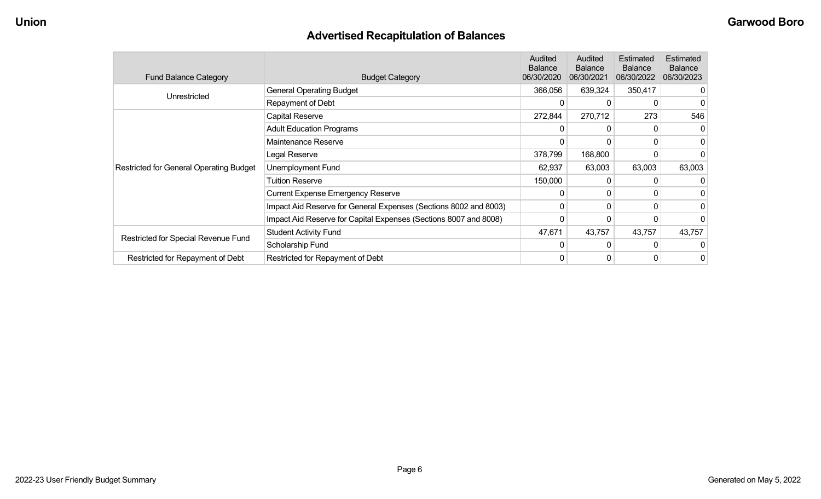## **Advertised Recapitulation of Balances**

| <b>Fund Balance Category</b>                   | <b>Budget Category</b>                                           | <b>Audited</b><br><b>Balance</b><br>06/30/2020 | Audited<br><b>Balance</b><br>06/30/2021 | Estimated<br><b>Balance</b><br>06/30/2022 | Estimated<br><b>Balance</b><br>06/30/2023 |
|------------------------------------------------|------------------------------------------------------------------|------------------------------------------------|-----------------------------------------|-------------------------------------------|-------------------------------------------|
| Unrestricted                                   | <b>General Operating Budget</b>                                  | 366,056                                        | 639,324                                 | 350,417                                   |                                           |
|                                                | Repayment of Debt                                                | 0                                              | 0                                       | 0                                         |                                           |
|                                                | Capital Reserve                                                  | 272,844                                        | 270,712                                 | 273                                       | 546                                       |
|                                                | <b>Adult Education Programs</b>                                  | 0                                              | $\Omega$                                |                                           | $\Omega$                                  |
|                                                | Maintenance Reserve                                              | $\Omega$                                       | 0                                       | 0                                         |                                           |
|                                                | Legal Reserve                                                    | 378,799                                        | 168,800                                 |                                           |                                           |
| <b>Restricted for General Operating Budget</b> | Unemployment Fund                                                | 62,937                                         | 63,003                                  | 63,003                                    | 63,003                                    |
|                                                | <b>Tuition Reserve</b>                                           | 150,000                                        | 0                                       |                                           |                                           |
|                                                | <b>Current Expense Emergency Reserve</b>                         | $\Omega$                                       | $\mathbf{0}$                            | 0                                         |                                           |
|                                                | Impact Aid Reserve for General Expenses (Sections 8002 and 8003) | $\Omega$                                       | 0                                       | $\Omega$                                  |                                           |
|                                                | Impact Aid Reserve for Capital Expenses (Sections 8007 and 8008) | 0                                              | 0                                       |                                           |                                           |
|                                                | <b>Student Activity Fund</b>                                     | 47,671                                         | 43,757                                  | 43,757                                    | 43,757                                    |
| Restricted for Special Revenue Fund            | Scholarship Fund                                                 | 0                                              | $\Omega$                                | 0                                         |                                           |
| Restricted for Repayment of Debt               | Restricted for Repayment of Debt                                 | 0                                              | 0                                       | 0                                         | 0                                         |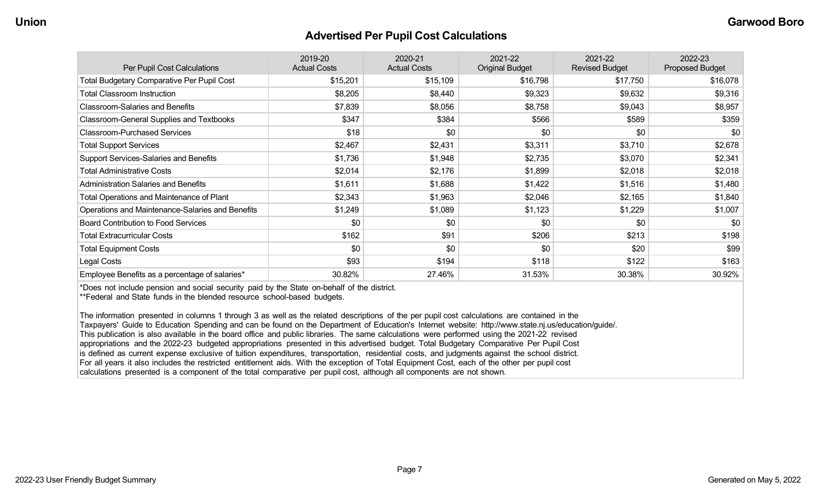#### **Advertised Per Pupil Cost Calculations**

| Per Pupil Cost Calculations                       | 2019-20<br><b>Actual Costs</b> | 2020-21<br><b>Actual Costs</b> | 2021-22<br><b>Original Budget</b> | 2021-22<br><b>Revised Budget</b> | 2022-23<br><b>Proposed Budget</b> |
|---------------------------------------------------|--------------------------------|--------------------------------|-----------------------------------|----------------------------------|-----------------------------------|
| <b>Total Budgetary Comparative Per Pupil Cost</b> | \$15,201                       | \$15,109                       | \$16,798                          | \$17,750                         | \$16,078                          |
| <b>Total Classroom Instruction</b>                | \$8,205                        | \$8,440                        | \$9,323                           | \$9,632                          | \$9,316                           |
| <b>Classroom-Salaries and Benefits</b>            | \$7,839                        | \$8,056                        | \$8,758                           | \$9,043                          | \$8,957                           |
| <b>Classroom-General Supplies and Textbooks</b>   | \$347                          | \$384                          | \$566                             | \$589                            | \$359                             |
| <b>Classroom-Purchased Services</b>               | \$18                           | \$0                            | \$0                               | \$0                              | \$0                               |
| <b>Total Support Services</b>                     | \$2,467                        | \$2,431                        | \$3,311                           | \$3,710                          | \$2,678                           |
| Support Services-Salaries and Benefits            | \$1,736                        | \$1,948                        | \$2,735                           | \$3,070                          | \$2,341                           |
| <b>Total Administrative Costs</b>                 | \$2,014                        | \$2,176                        | \$1,899                           | \$2,018                          | \$2,018                           |
| <b>Administration Salaries and Benefits</b>       | \$1,611                        | \$1,688                        | \$1,422                           | \$1,516                          | \$1,480                           |
| Total Operations and Maintenance of Plant         | \$2,343                        | \$1,963                        | \$2,046                           | \$2,165                          | \$1,840                           |
| Operations and Maintenance-Salaries and Benefits  | \$1,249                        | \$1,089                        | \$1,123                           | \$1,229                          | \$1,007                           |
| Board Contribution to Food Services               | \$0                            | \$0                            | \$0                               | \$0                              | \$0                               |
| <b>Total Extracurricular Costs</b>                | \$162                          | \$91                           | \$206                             | \$213                            | \$198                             |
| <b>Total Equipment Costs</b>                      | \$0                            | \$0                            | \$0                               | \$20                             | \$99                              |
| Legal Costs                                       | \$93                           | \$194                          | \$118                             | \$122                            | \$163                             |
| Employee Benefits as a percentage of salaries*    | 30.82%                         | 27.46%                         | 31.53%                            | 30.38%                           | 30.92%                            |

\*Does not include pension and social security paid by the State on-behalf of the district.

\*\*Federal and State funds in the blended resource school-based budgets.

The information presented in columns 1 through 3 as well as the related descriptions of the per pupil cost calculations are contained in the Taxpayers' Guide to Education Spending and can be found on the Department of Education's Internet website: http://www.state.nj.us/education/guide/. This publication is also available in the board office and public libraries. The same calculations were performed using the 2021-22 revised appropriations and the 2022-23 budgeted appropriations presented in this advertised budget. Total Budgetary Comparative Per Pupil Cost is defined as current expense exclusive of tuition expenditures, transportation, residential costs, and judgments against the school district. For all years it also includes the restricted entitlement aids. With the exception of Total Equipment Cost, each of the other per pupil cost calculations presented is a component of the total comparative per pupil cost, although all components are not shown.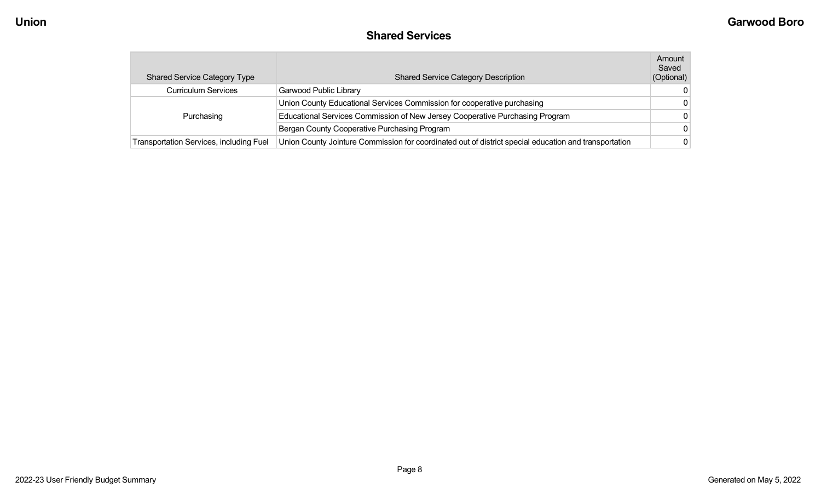### **Shared Services**

| <b>Shared Service Category Type</b>            | <b>Shared Service Category Description</b>                                                            | Amount<br>Saved<br>(Optional) |
|------------------------------------------------|-------------------------------------------------------------------------------------------------------|-------------------------------|
| <b>Curriculum Services</b>                     | Garwood Public Library                                                                                |                               |
|                                                | Union County Educational Services Commission for cooperative purchasing                               |                               |
| Purchasing                                     | Educational Services Commission of New Jersey Cooperative Purchasing Program                          |                               |
|                                                | Bergan County Cooperative Purchasing Program                                                          |                               |
| <b>Transportation Services, including Fuel</b> | Union County Jointure Commission for coordinated out of district special education and transportation |                               |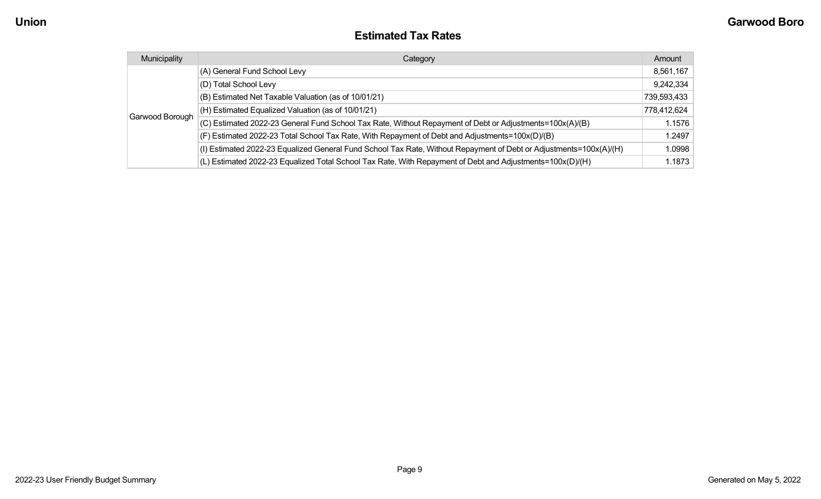#### **Estimated Tax Rates**

| Municipality    | Category                                                                                                           | Amount      |
|-----------------|--------------------------------------------------------------------------------------------------------------------|-------------|
|                 | (A) General Fund School Levy                                                                                       | 8,561,167   |
|                 | (D) Total School Levy                                                                                              | 9,242,334   |
|                 | (B) Estimated Net Taxable Valuation (as of 10/01/21)                                                               | 739,593,433 |
|                 | (H) Estimated Equalized Valuation (as of 10/01/21)                                                                 | 778,412,624 |
| Garwood Borough | (C) Estimated 2022-23 General Fund School Tax Rate, Without Repayment of Debt or Adjustments=100x(A)/(B)           | 1.1576      |
|                 | (F) Estimated 2022-23 Total School Tax Rate, With Repayment of Debt and Adjustments=100x(D)/(B)                    | 1.2497      |
|                 | (I) Estimated 2022-23 Equalized General Fund School Tax Rate, Without Repayment of Debt or Adjustments=100x(A)/(H) | 1.0998      |
|                 | (L) Estimated 2022-23 Equalized Total School Tax Rate, With Repayment of Debt and Adjustments=100x(D)/(H)          | 1.1873      |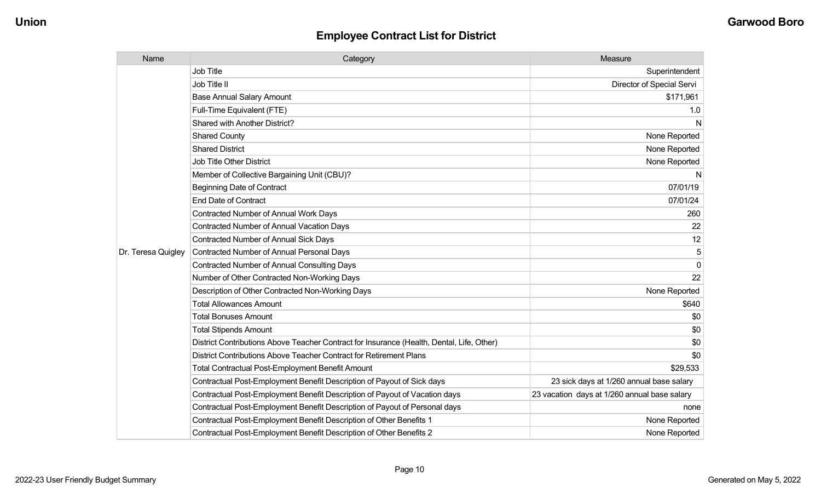| Name               | Category                                                                                  | Measure                                      |
|--------------------|-------------------------------------------------------------------------------------------|----------------------------------------------|
|                    | Job Title                                                                                 | Superintendent                               |
|                    | Job Title II                                                                              | Director of Special Servi                    |
|                    | <b>Base Annual Salary Amount</b>                                                          | \$171,961                                    |
|                    | Full-Time Equivalent (FTE)                                                                | 1.0                                          |
|                    | Shared with Another District?                                                             | N                                            |
|                    | <b>Shared County</b>                                                                      | None Reported                                |
|                    | <b>Shared District</b>                                                                    | None Reported                                |
|                    | <b>Job Title Other District</b>                                                           | None Reported                                |
|                    | Member of Collective Bargaining Unit (CBU)?                                               | N                                            |
|                    | <b>Beginning Date of Contract</b>                                                         | 07/01/19                                     |
|                    | <b>End Date of Contract</b>                                                               | 07/01/24                                     |
|                    | <b>Contracted Number of Annual Work Days</b>                                              | 260                                          |
|                    | <b>Contracted Number of Annual Vacation Days</b>                                          | 22                                           |
|                    | Contracted Number of Annual Sick Days                                                     | 12                                           |
| Dr. Teresa Quigley | Contracted Number of Annual Personal Days                                                 | 5                                            |
|                    | Contracted Number of Annual Consulting Days                                               | $\Omega$                                     |
|                    | Number of Other Contracted Non-Working Days                                               | 22                                           |
|                    | Description of Other Contracted Non-Working Days                                          | None Reported                                |
|                    | <b>Total Allowances Amount</b>                                                            | \$640                                        |
|                    | <b>Total Bonuses Amount</b>                                                               | \$0                                          |
|                    | <b>Total Stipends Amount</b>                                                              | \$0                                          |
|                    | District Contributions Above Teacher Contract for Insurance (Health, Dental, Life, Other) | \$0                                          |
|                    | District Contributions Above Teacher Contract for Retirement Plans                        | \$0                                          |
|                    | <b>Total Contractual Post-Employment Benefit Amount</b>                                   | \$29,533                                     |
|                    | Contractual Post-Employment Benefit Description of Payout of Sick days                    | 23 sick days at 1/260 annual base salary     |
|                    | Contractual Post-Employment Benefit Description of Payout of Vacation days                | 23 vacation days at 1/260 annual base salary |
|                    | Contractual Post-Employment Benefit Description of Payout of Personal days                | none                                         |
|                    | Contractual Post-Employment Benefit Description of Other Benefits 1                       | None Reported                                |
|                    | Contractual Post-Employment Benefit Description of Other Benefits 2                       | None Reported                                |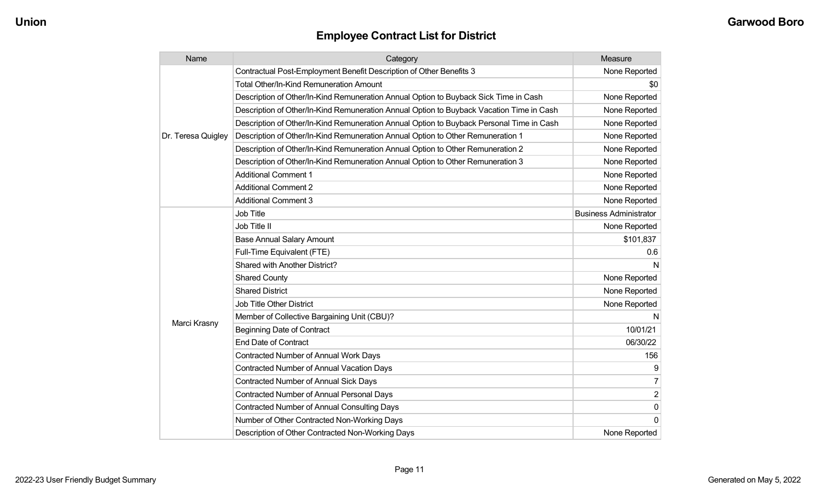| Name               | Category                                                                                 | Measure                       |
|--------------------|------------------------------------------------------------------------------------------|-------------------------------|
|                    | Contractual Post-Employment Benefit Description of Other Benefits 3                      | None Reported                 |
|                    | <b>Total Other/In-Kind Remuneration Amount</b>                                           | \$0                           |
|                    | Description of Other/In-Kind Remuneration Annual Option to Buyback Sick Time in Cash     | None Reported                 |
|                    | Description of Other/In-Kind Remuneration Annual Option to Buyback Vacation Time in Cash | None Reported                 |
|                    | Description of Other/In-Kind Remuneration Annual Option to Buyback Personal Time in Cash | None Reported                 |
| Dr. Teresa Quigley | Description of Other/In-Kind Remuneration Annual Option to Other Remuneration 1          | None Reported                 |
|                    | Description of Other/In-Kind Remuneration Annual Option to Other Remuneration 2          | None Reported                 |
|                    | Description of Other/In-Kind Remuneration Annual Option to Other Remuneration 3          | None Reported                 |
|                    | <b>Additional Comment 1</b>                                                              | None Reported                 |
|                    | <b>Additional Comment 2</b>                                                              | None Reported                 |
|                    | <b>Additional Comment 3</b>                                                              | None Reported                 |
|                    | Job Title                                                                                | <b>Business Administrator</b> |
|                    | Job Title II                                                                             | None Reported                 |
|                    | <b>Base Annual Salary Amount</b>                                                         | \$101,837                     |
|                    | Full-Time Equivalent (FTE)                                                               | 0.6                           |
|                    | Shared with Another District?                                                            | N                             |
|                    | <b>Shared County</b>                                                                     | None Reported                 |
|                    | <b>Shared District</b>                                                                   | None Reported                 |
|                    | <b>Job Title Other District</b>                                                          | None Reported                 |
|                    | Member of Collective Bargaining Unit (CBU)?                                              | N                             |
| Marci Krasny       | <b>Beginning Date of Contract</b>                                                        | 10/01/21                      |
|                    | <b>End Date of Contract</b>                                                              | 06/30/22                      |
|                    | <b>Contracted Number of Annual Work Days</b>                                             | 156                           |
|                    | <b>Contracted Number of Annual Vacation Days</b>                                         | 9                             |
|                    | <b>Contracted Number of Annual Sick Days</b>                                             | 7                             |
|                    | <b>Contracted Number of Annual Personal Days</b>                                         | $\overline{2}$                |
|                    | <b>Contracted Number of Annual Consulting Days</b>                                       | $\mathbf 0$                   |
|                    | Number of Other Contracted Non-Working Days                                              | $\Omega$                      |
|                    | Description of Other Contracted Non-Working Days                                         | None Reported                 |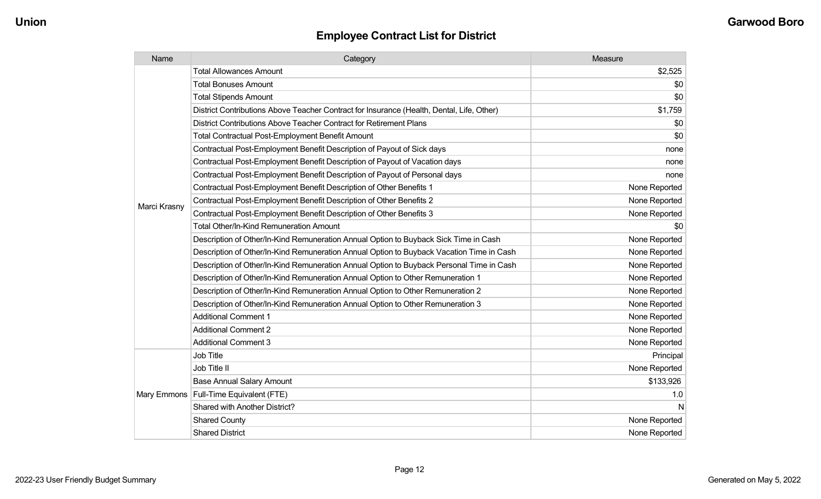| Name         | Category                                                                                  | Measure       |
|--------------|-------------------------------------------------------------------------------------------|---------------|
|              | <b>Total Allowances Amount</b>                                                            | \$2,525       |
|              | <b>Total Bonuses Amount</b>                                                               | \$0           |
|              | <b>Total Stipends Amount</b>                                                              | \$0           |
|              | District Contributions Above Teacher Contract for Insurance (Health, Dental, Life, Other) | \$1,759       |
|              | District Contributions Above Teacher Contract for Retirement Plans                        | \$0           |
|              | <b>Total Contractual Post-Employment Benefit Amount</b>                                   | \$0           |
|              | Contractual Post-Employment Benefit Description of Payout of Sick days                    | none          |
|              | Contractual Post-Employment Benefit Description of Payout of Vacation days                | none          |
|              | Contractual Post-Employment Benefit Description of Payout of Personal days                | none          |
|              | Contractual Post-Employment Benefit Description of Other Benefits 1                       | None Reported |
| Marci Krasny | Contractual Post-Employment Benefit Description of Other Benefits 2                       | None Reported |
|              | Contractual Post-Employment Benefit Description of Other Benefits 3                       | None Reported |
|              | Total Other/In-Kind Remuneration Amount                                                   | \$0           |
|              | Description of Other/In-Kind Remuneration Annual Option to Buyback Sick Time in Cash      | None Reported |
|              | Description of Other/In-Kind Remuneration Annual Option to Buyback Vacation Time in Cash  | None Reported |
|              | Description of Other/In-Kind Remuneration Annual Option to Buyback Personal Time in Cash  | None Reported |
|              | Description of Other/In-Kind Remuneration Annual Option to Other Remuneration 1           | None Reported |
|              | Description of Other/In-Kind Remuneration Annual Option to Other Remuneration 2           | None Reported |
|              | Description of Other/In-Kind Remuneration Annual Option to Other Remuneration 3           | None Reported |
|              | <b>Additional Comment 1</b>                                                               | None Reported |
|              | <b>Additional Comment 2</b>                                                               | None Reported |
|              | <b>Additional Comment 3</b>                                                               | None Reported |
|              | Job Title                                                                                 | Principal     |
|              | Job Title II                                                                              | None Reported |
|              | <b>Base Annual Salary Amount</b>                                                          | \$133,926     |
|              | Mary Emmons   Full-Time Equivalent (FTE)                                                  | 1.0           |
|              | Shared with Another District?                                                             | N             |
|              | <b>Shared County</b>                                                                      | None Reported |
|              | <b>Shared District</b>                                                                    | None Reported |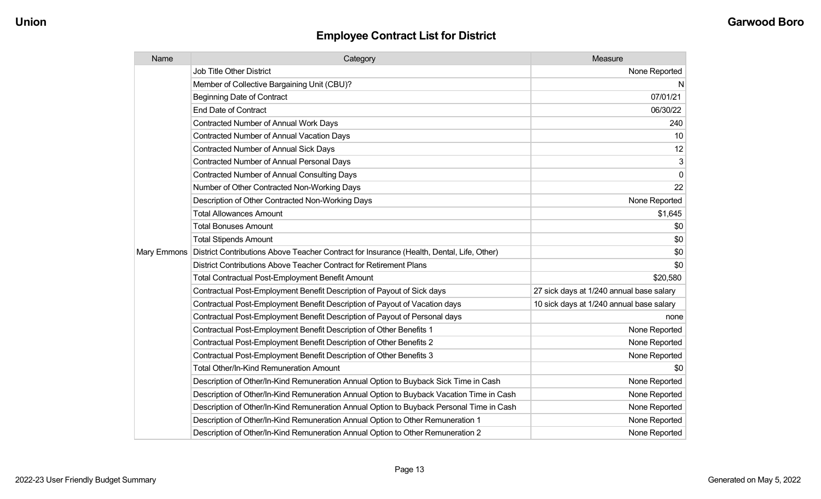| Name | Category                                                                                                | Measure                                  |
|------|---------------------------------------------------------------------------------------------------------|------------------------------------------|
|      | <b>Job Title Other District</b>                                                                         | None Reported                            |
|      | Member of Collective Bargaining Unit (CBU)?                                                             | N                                        |
|      | <b>Beginning Date of Contract</b>                                                                       | 07/01/21                                 |
|      | <b>End Date of Contract</b>                                                                             | 06/30/22                                 |
|      | <b>Contracted Number of Annual Work Days</b>                                                            | 240                                      |
|      | <b>Contracted Number of Annual Vacation Days</b>                                                        | 10                                       |
|      | <b>Contracted Number of Annual Sick Days</b>                                                            | 12                                       |
|      | <b>Contracted Number of Annual Personal Days</b>                                                        | 3                                        |
|      | <b>Contracted Number of Annual Consulting Days</b>                                                      | $\mathbf 0$                              |
|      | Number of Other Contracted Non-Working Days                                                             | 22                                       |
|      | Description of Other Contracted Non-Working Days                                                        | None Reported                            |
|      | <b>Total Allowances Amount</b>                                                                          | \$1,645                                  |
|      | <b>Total Bonuses Amount</b>                                                                             | \$0                                      |
|      | <b>Total Stipends Amount</b>                                                                            | \$0                                      |
|      | Mary Emmons   District Contributions Above Teacher Contract for Insurance (Health, Dental, Life, Other) | \$0                                      |
|      | District Contributions Above Teacher Contract for Retirement Plans                                      | \$0                                      |
|      | Total Contractual Post-Employment Benefit Amount                                                        | \$20,580                                 |
|      | Contractual Post-Employment Benefit Description of Payout of Sick days                                  | 27 sick days at 1/240 annual base salary |
|      | Contractual Post-Employment Benefit Description of Payout of Vacation days                              | 10 sick days at 1/240 annual base salary |
|      | Contractual Post-Employment Benefit Description of Payout of Personal days                              | none                                     |
|      | Contractual Post-Employment Benefit Description of Other Benefits 1                                     | None Reported                            |
|      | Contractual Post-Employment Benefit Description of Other Benefits 2                                     | None Reported                            |
|      | Contractual Post-Employment Benefit Description of Other Benefits 3                                     | None Reported                            |
|      | <b>Total Other/In-Kind Remuneration Amount</b>                                                          | \$0                                      |
|      | Description of Other/In-Kind Remuneration Annual Option to Buyback Sick Time in Cash                    | None Reported                            |
|      | Description of Other/In-Kind Remuneration Annual Option to Buyback Vacation Time in Cash                | None Reported                            |
|      | Description of Other/In-Kind Remuneration Annual Option to Buyback Personal Time in Cash                | None Reported                            |
|      | Description of Other/In-Kind Remuneration Annual Option to Other Remuneration 1                         | None Reported                            |
|      | Description of Other/In-Kind Remuneration Annual Option to Other Remuneration 2                         | None Reported                            |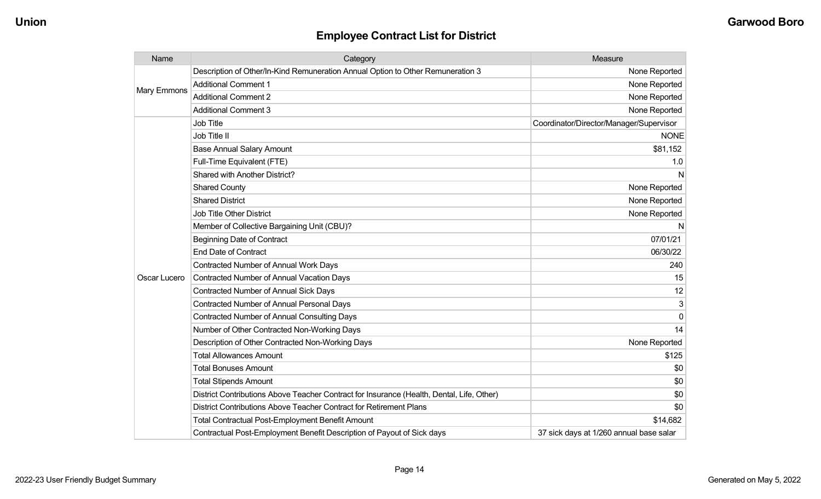| Name         | Category                                                                                  | Measure                                 |
|--------------|-------------------------------------------------------------------------------------------|-----------------------------------------|
| Mary Emmons  | Description of Other/In-Kind Remuneration Annual Option to Other Remuneration 3           | None Reported                           |
|              | <b>Additional Comment 1</b>                                                               | None Reported                           |
|              | <b>Additional Comment 2</b>                                                               | None Reported                           |
|              | <b>Additional Comment 3</b>                                                               | None Reported                           |
|              | <b>Job Title</b>                                                                          | Coordinator/Director/Manager/Supervisor |
|              | Job Title II                                                                              | <b>NONE</b>                             |
|              | <b>Base Annual Salary Amount</b>                                                          | \$81,152                                |
|              | Full-Time Equivalent (FTE)                                                                | 1.0                                     |
|              | Shared with Another District?                                                             | N                                       |
|              | <b>Shared County</b>                                                                      | None Reported                           |
|              | <b>Shared District</b>                                                                    | None Reported                           |
|              | <b>Job Title Other District</b>                                                           | None Reported                           |
|              | Member of Collective Bargaining Unit (CBU)?                                               | N                                       |
| Oscar Lucero | <b>Beginning Date of Contract</b>                                                         | 07/01/21                                |
|              | <b>End Date of Contract</b>                                                               | 06/30/22                                |
|              | <b>Contracted Number of Annual Work Days</b>                                              | 240                                     |
|              | Contracted Number of Annual Vacation Days                                                 | 15                                      |
|              | <b>Contracted Number of Annual Sick Days</b>                                              | 12                                      |
|              | <b>Contracted Number of Annual Personal Days</b>                                          | 3                                       |
|              | <b>Contracted Number of Annual Consulting Days</b>                                        | 0                                       |
|              | Number of Other Contracted Non-Working Days                                               | 14                                      |
|              | Description of Other Contracted Non-Working Days                                          | None Reported                           |
|              | <b>Total Allowances Amount</b>                                                            | \$125                                   |
|              | <b>Total Bonuses Amount</b>                                                               | \$0                                     |
|              | <b>Total Stipends Amount</b>                                                              | \$0                                     |
|              | District Contributions Above Teacher Contract for Insurance (Health, Dental, Life, Other) | \$0                                     |
|              | District Contributions Above Teacher Contract for Retirement Plans                        | \$0                                     |
|              | <b>Total Contractual Post-Employment Benefit Amount</b>                                   | \$14,682                                |
|              | Contractual Post-Employment Benefit Description of Payout of Sick days                    | 37 sick days at 1/260 annual base salar |